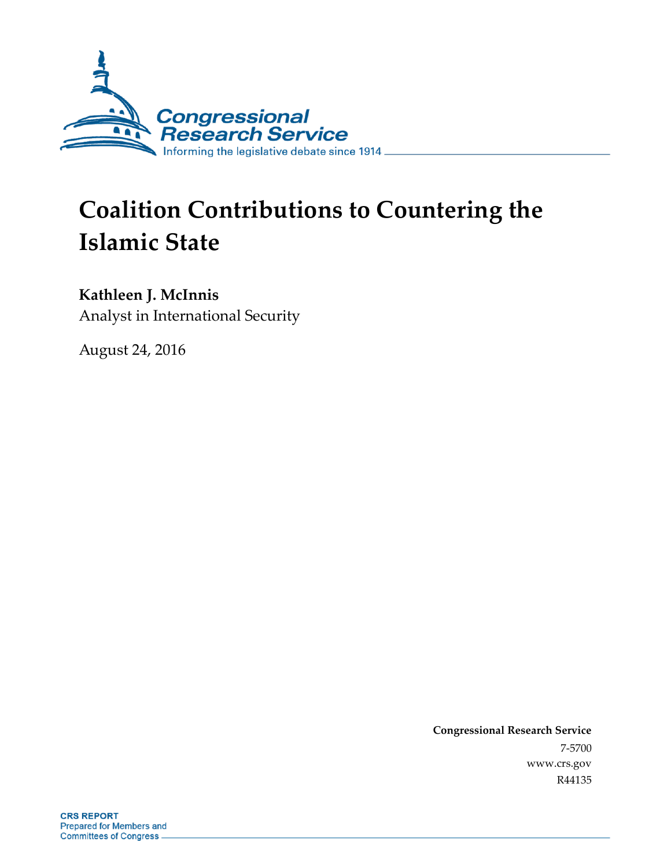

# **Coalition Contributions to Countering the Islamic State**

### **Kathleen J. McInnis**

Analyst in International Security

August 24, 2016

**Congressional Research Service** 7-5700 www.crs.gov R44135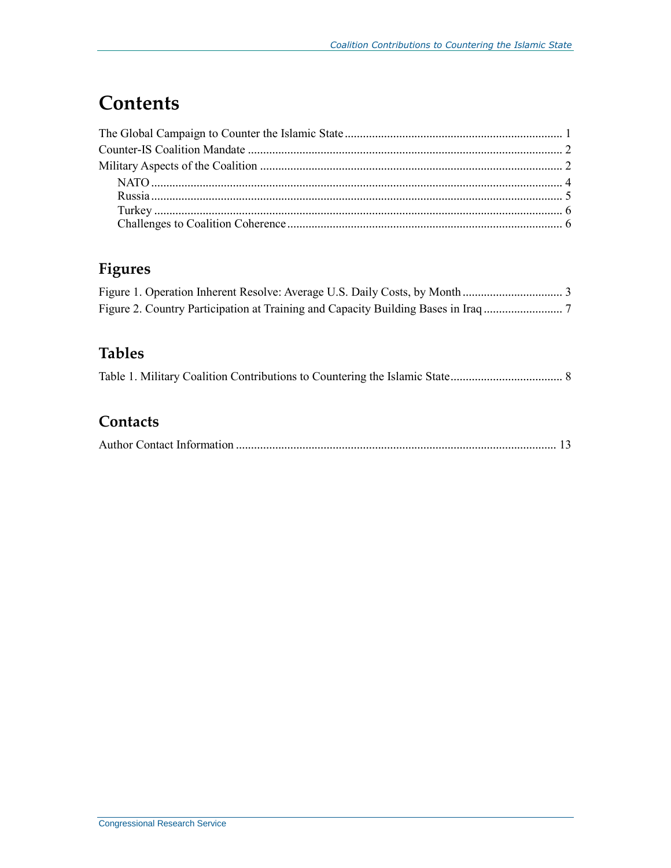# **Contents**

## **Figures**

### **Tables**

|--|--|--|

### **Contacts**

|--|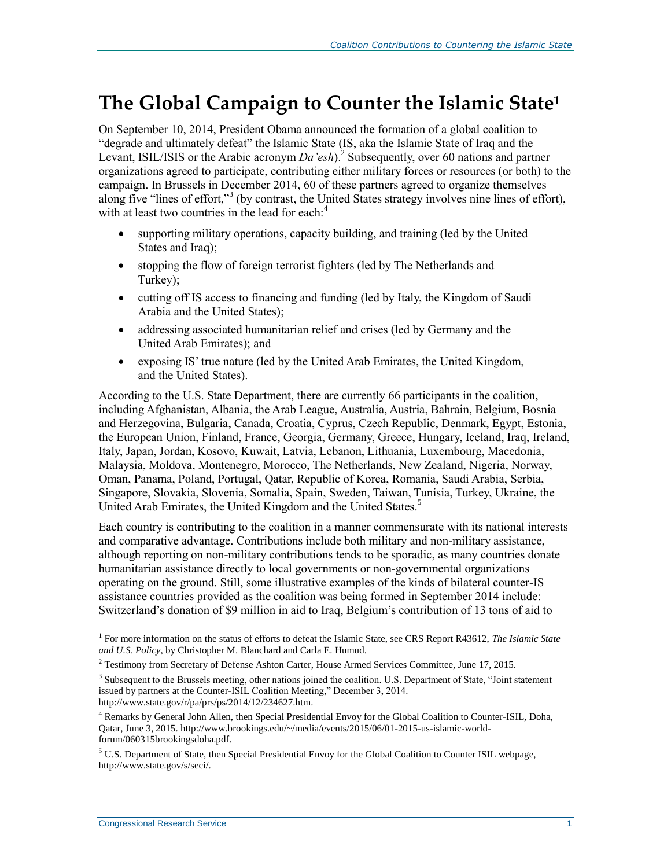# **The Global Campaign to Counter the Islamic State<sup>1</sup>**

On September 10, 2014, President Obama announced the formation of a global coalition to "degrade and ultimately defeat" the Islamic State (IS, aka the Islamic State of Iraq and the Levant, ISIL/ISIS or the Arabic acronym  $Da'esh$ .<sup>2</sup> Subsequently, over 60 nations and partner organizations agreed to participate, contributing either military forces or resources (or both) to the campaign. In Brussels in December 2014, 60 of these partners agreed to organize themselves along five "lines of effort,"<sup>3</sup> (by contrast, the United States strategy involves nine lines of effort), with at least two countries in the lead for each: $4$ 

- supporting military operations, capacity building, and training (led by the United States and Iraq);
- stopping the flow of foreign terrorist fighters (led by The Netherlands and Turkey);
- cutting off IS access to financing and funding (led by Italy, the Kingdom of Saudi Arabia and the United States);
- addressing associated humanitarian relief and crises (led by Germany and the United Arab Emirates); and
- exposing IS' true nature (led by the United Arab Emirates, the United Kingdom, and the United States).

According to the U.S. State Department, there are currently 66 participants in the coalition, including Afghanistan, Albania, the Arab League, Australia, Austria, Bahrain, Belgium, Bosnia and Herzegovina, Bulgaria, Canada, Croatia, Cyprus, Czech Republic, Denmark, Egypt, Estonia, the European Union, Finland, France, Georgia, Germany, Greece, Hungary, Iceland, Iraq, Ireland, Italy, Japan, Jordan, Kosovo, Kuwait, Latvia, Lebanon, Lithuania, Luxembourg, Macedonia, Malaysia, Moldova, Montenegro, Morocco, The Netherlands, New Zealand, Nigeria, Norway, Oman, Panama, Poland, Portugal, Qatar, Republic of Korea, Romania, Saudi Arabia, Serbia, Singapore, Slovakia, Slovenia, Somalia, Spain, Sweden, Taiwan, Tunisia, Turkey, Ukraine, the United Arab Emirates, the United Kingdom and the United States.<sup>5</sup>

Each country is contributing to the coalition in a manner commensurate with its national interests and comparative advantage. Contributions include both military and non-military assistance, although reporting on non-military contributions tends to be sporadic, as many countries donate humanitarian assistance directly to local governments or non-governmental organizations operating on the ground. Still, some illustrative examples of the kinds of bilateral counter-IS assistance countries provided as the coalition was being formed in September 2014 include: Switzerland's donation of \$9 million in aid to Iraq, Belgium's contribution of 13 tons of aid to

 1 For more information on the status of efforts to defeat the Islamic State, see CRS Report R43612, *The Islamic State and U.S. Policy*, by Christopher M. Blanchard and Carla E. Humud.

<sup>2</sup> Testimony from Secretary of Defense Ashton Carter, House Armed Services Committee, June 17, 2015.

<sup>&</sup>lt;sup>3</sup> Subsequent to the Brussels meeting, other nations joined the coalition. U.S. Department of State, "Joint statement issued by partners at the Counter-ISIL Coalition Meeting," December 3, 2014. http://www.state.gov/r/pa/prs/ps/2014/12/234627.htm.

<sup>4</sup> Remarks by General John Allen, then Special Presidential Envoy for the Global Coalition to Counter-ISIL, Doha, Qatar, June 3, 2015. http://www.brookings.edu/~/media/events/2015/06/01-2015-us-islamic-worldforum/060315brookingsdoha.pdf.

<sup>5</sup> U.S. Department of State, then Special Presidential Envoy for the Global Coalition to Counter ISIL webpage, http://www.state.gov/s/seci/.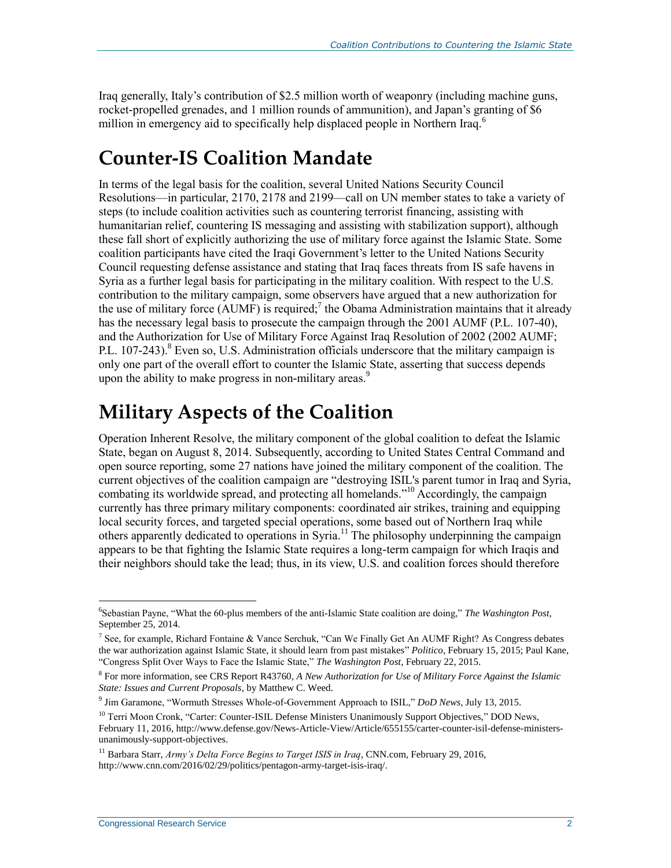Iraq generally, Italy's contribution of \$2.5 million worth of weaponry (including machine guns, rocket-propelled grenades, and 1 million rounds of ammunition), and Japan's granting of \$6 million in emergency aid to specifically help displaced people in Northern Iraq.<sup>6</sup>

# **Counter-IS Coalition Mandate**

In terms of the legal basis for the coalition, several United Nations Security Council Resolutions—in particular, 2170, 2178 and 2199—call on UN member states to take a variety of steps (to include coalition activities such as countering terrorist financing, assisting with humanitarian relief, countering IS messaging and assisting with stabilization support), although these fall short of explicitly authorizing the use of military force against the Islamic State. Some coalition participants have cited the Iraqi Government's letter to the United Nations Security Council requesting defense assistance and stating that Iraq faces threats from IS safe havens in Syria as a further legal basis for participating in the military coalition. With respect to the U.S. contribution to the military campaign, some observers have argued that a new authorization for the use of military force  $(AUMF)$  is required;<sup>7</sup> the Obama Administration maintains that it already has the necessary legal basis to prosecute the campaign through the 2001 AUMF (P.L. 107-40), and the Authorization for Use of Military Force Against Iraq Resolution of 2002 (2002 AUMF; P.L. 107-243).<sup>8</sup> Even so, U.S. Administration officials underscore that the military campaign is only one part of the overall effort to counter the Islamic State, asserting that success depends upon the ability to make progress in non-military areas.<sup>9</sup>

# **Military Aspects of the Coalition**

Operation Inherent Resolve, the military component of the global coalition to defeat the Islamic State, began on August 8, 2014. Subsequently, according to United States Central Command and open source reporting, some 27 nations have joined the military component of the coalition. The current objectives of the coalition campaign are "destroying ISIL's parent tumor in Iraq and Syria, combating its worldwide spread, and protecting all homelands."<sup>10</sup> Accordingly, the campaign currently has three primary military components: coordinated air strikes, training and equipping local security forces, and targeted special operations, some based out of Northern Iraq while others apparently dedicated to operations in Syria.<sup>11</sup> The philosophy underpinning the campaign appears to be that fighting the Islamic State requires a long-term campaign for which Iraqis and their neighbors should take the lead; thus, in its view, U.S. and coalition forces should therefore

 $\overline{a}$ 

<sup>6</sup> Sebastian Payne, "What the 60-plus members of the anti-Islamic State coalition are doing," *The Washington Post*, September 25, 2014.

<sup>&</sup>lt;sup>7</sup> See, for example, Richard Fontaine & Vance Serchuk, "Can We Finally Get An AUMF Right? As Congress debates the war authorization against Islamic State, it should learn from past mistakes" *Politico*, February 15, 2015; Paul Kane, "Congress Split Over Ways to Face the Islamic State," *The Washington Post*, February 22, 2015.

<sup>8</sup> For more information, see CRS Report R43760, *A New Authorization for Use of Military Force Against the Islamic State: Issues and Current Proposals*, by Matthew C. Weed.

<sup>9</sup> Jim Garamone, "Wormuth Stresses Whole-of-Government Approach to ISIL," *DoD News*, July 13, 2015.

<sup>&</sup>lt;sup>10</sup> Terri Moon Cronk, "Carter: Counter-ISIL Defense Ministers Unanimously Support Objectives," DOD News, February 11, 2016, http://www.defense.gov/News-Article-View/Article/655155/carter-counter-isil-defense-ministersunanimously-support-objectives.

<sup>11</sup> Barbara Starr, *Army's Delta Force Begins to Target ISIS in Iraq*, CNN.com, February 29, 2016, http://www.cnn.com/2016/02/29/politics/pentagon-army-target-isis-iraq/.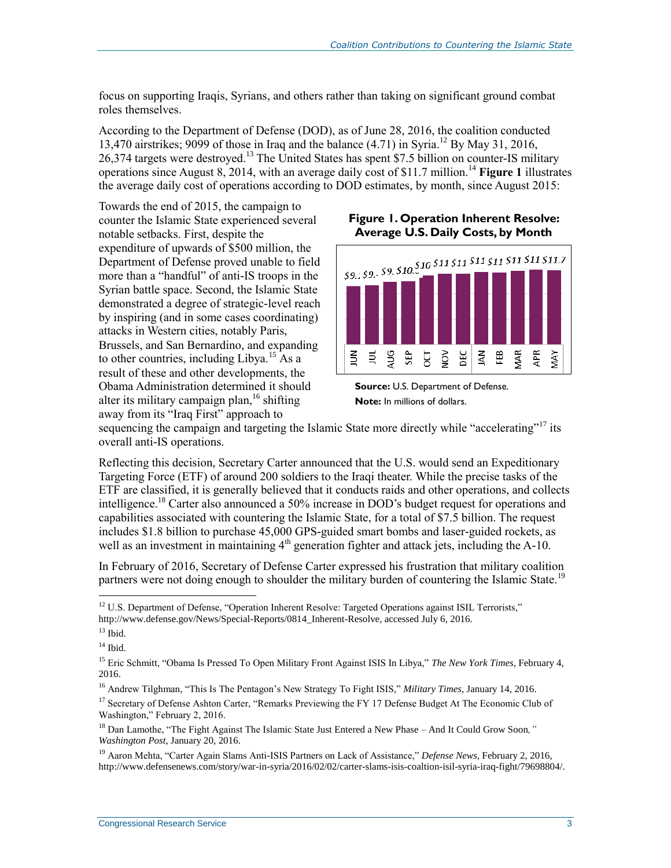focus on supporting Iraqis, Syrians, and others rather than taking on significant ground combat roles themselves.

According to the Department of Defense (DOD), as of June 28, 2016, the coalition conducted 13,470 airstrikes; 9099 of those in Iraq and the balance  $(4.71)$  in Syria.<sup>12</sup> By May 31, 2016, 26,374 targets were destroyed.<sup>13</sup> The United States has spent \$7.5 billion on counter-IS military operations since August 8, 2014, with an average daily cost of \$11.7 million.<sup>14</sup> **[Figure 1](#page-4-0)** illustrates the average daily cost of operations according to DOD estimates, by month, since August 2015:

Towards the end of 2015, the campaign to counter the Islamic State experienced several notable setbacks. First, despite the expenditure of upwards of \$500 million, the Department of Defense proved unable to field more than a "handful" of anti-IS troops in the Syrian battle space. Second, the Islamic State demonstrated a degree of strategic-level reach by inspiring (and in some cases coordinating) attacks in Western cities, notably Paris, Brussels, and San Bernardino, and expanding to other countries, including Libya.<sup>15</sup> As a result of these and other developments, the Obama Administration determined it should alter its military campaign plan,<sup>16</sup> shifting away from its "Iraq First" approach to

#### <span id="page-4-0"></span>**Figure 1. Operation Inherent Resolve: Average U.S. Daily Costs, by Month**





sequencing the campaign and targeting the Islamic State more directly while "accelerating"<sup>17</sup> its overall anti-IS operations.

Reflecting this decision, Secretary Carter announced that the U.S. would send an Expeditionary Targeting Force (ETF) of around 200 soldiers to the Iraqi theater. While the precise tasks of the ETF are classified, it is generally believed that it conducts raids and other operations, and collects intelligence.<sup>18</sup> Carter also announced a 50% increase in DOD's budget request for operations and capabilities associated with countering the Islamic State, for a total of \$7.5 billion. The request includes \$1.8 billion to purchase 45,000 GPS-guided smart bombs and laser-guided rockets, as well as an investment in maintaining  $4<sup>th</sup>$  generation fighter and attack jets, including the A-10.

In February of 2016, Secretary of Defense Carter expressed his frustration that military coalition partners were not doing enough to shoulder the military burden of countering the Islamic State.<sup>19</sup>

 $\overline{a}$ 

<sup>&</sup>lt;sup>12</sup> U.S. Department of Defense, "Operation Inherent Resolve: Targeted Operations against ISIL Terrorists," http://www.defense.gov/News/Special-Reports/0814\_Inherent-Resolve, accessed July 6, 2016.

 $13$  Ibid.

 $14$  Ibid.

<sup>&</sup>lt;sup>15</sup> Eric Schmitt, "Obama Is Pressed To Open Military Front Against ISIS In Libya," The New York Times, February 4, 2016.

<sup>16</sup> Andrew Tilghman, "This Is The Pentagon's New Strategy To Fight ISIS," *Military Times*, January 14, 2016.

<sup>&</sup>lt;sup>17</sup> Secretary of Defense Ashton Carter, "Remarks Previewing the FY 17 Defense Budget At The Economic Club of Washington," February 2, 2016.

<sup>18</sup> Dan Lamothe, "The Fight Against The Islamic State Just Entered a New Phase – And It Could Grow Soon*," Washington Post*, January 20, 2016.

<sup>19</sup> Aaron Mehta, "Carter Again Slams Anti-ISIS Partners on Lack of Assistance," *Defense News*, February 2, 2016, http://www.defensenews.com/story/war-in-syria/2016/02/02/carter-slams-isis-coaltion-isil-syria-iraq-fight/79698804/.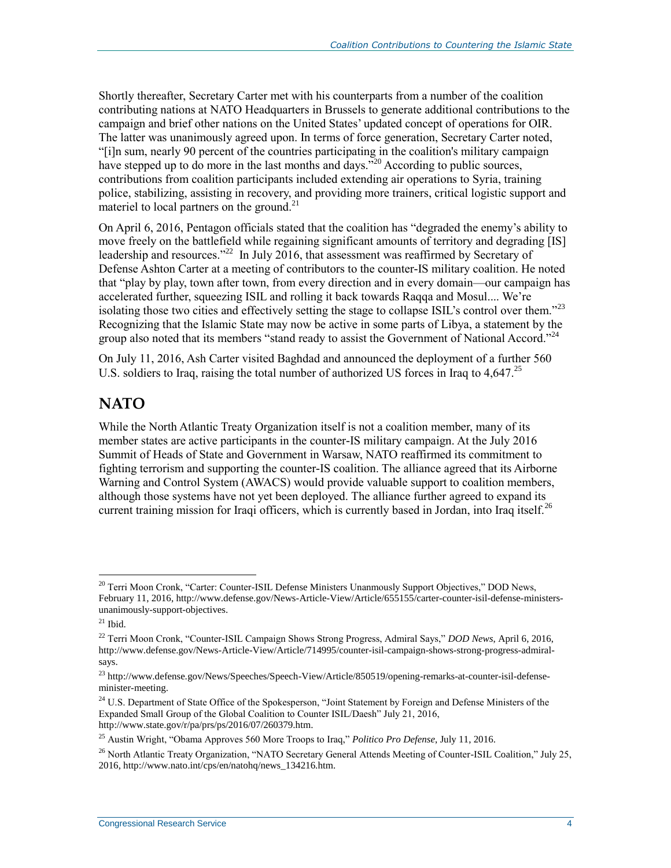Shortly thereafter, Secretary Carter met with his counterparts from a number of the coalition contributing nations at NATO Headquarters in Brussels to generate additional contributions to the campaign and brief other nations on the United States' updated concept of operations for OIR. The latter was unanimously agreed upon. In terms of force generation, Secretary Carter noted, "[i]n sum, nearly 90 percent of the countries participating in the coalition's military campaign have stepped up to do more in the last months and days."<sup>20</sup> According to public sources, contributions from coalition participants included extending air operations to Syria, training police, stabilizing, assisting in recovery, and providing more trainers, critical logistic support and materiel to local partners on the ground.<sup>21</sup>

On April 6, 2016, Pentagon officials stated that the coalition has "degraded the enemy's ability to move freely on the battlefield while regaining significant amounts of territory and degrading [IS] leadership and resources."<sup>22</sup> In July 2016, that assessment was reaffirmed by Secretary of Defense Ashton Carter at a meeting of contributors to the counter-IS military coalition. He noted that "play by play, town after town, from every direction and in every domain—our campaign has accelerated further, squeezing ISIL and rolling it back towards Raqqa and Mosul.... We're isolating those two cities and effectively setting the stage to collapse ISIL's control over them."<sup>23</sup> Recognizing that the Islamic State may now be active in some parts of Libya, a statement by the group also noted that its members "stand ready to assist the Government of National Accord."<sup>24</sup>

On July 11, 2016, Ash Carter visited Baghdad and announced the deployment of a further 560 U.S. soldiers to Iraq, raising the total number of authorized US forces in Iraq to 4.647.<sup>25</sup>

#### **NATO**

While the North Atlantic Treaty Organization itself is not a coalition member, many of its member states are active participants in the counter-IS military campaign. At the July 2016 Summit of Heads of State and Government in Warsaw, NATO reaffirmed its commitment to fighting terrorism and supporting the counter-IS coalition. The alliance agreed that its Airborne Warning and Control System (AWACS) would provide valuable support to coalition members, although those systems have not yet been deployed. The alliance further agreed to expand its current training mission for Iraqi officers, which is currently based in Jordan, into Iraq itself.<sup>26</sup>

 $\overline{a}$ 

<sup>&</sup>lt;sup>20</sup> Terri Moon Cronk, "Carter: Counter-ISIL Defense Ministers Unanmously Support Objectives," DOD News, February 11, 2016, http://www.defense.gov/News-Article-View/Article/655155/carter-counter-isil-defense-ministersunanimously-support-objectives.

 $^{21}$  Ibid.

<sup>22</sup> Terri Moon Cronk, "Counter-ISIL Campaign Shows Strong Progress, Admiral Says," *DOD News*, April 6, 2016, http://www.defense.gov/News-Article-View/Article/714995/counter-isil-campaign-shows-strong-progress-admiralsays.

<sup>&</sup>lt;sup>23</sup> http://www.defense.gov/News/Speeches/Speech-View/Article/850519/opening-remarks-at-counter-isil-defenseminister-meeting.

<sup>&</sup>lt;sup>24</sup> U.S. Department of State Office of the Spokesperson, "Joint Statement by Foreign and Defense Ministers of the Expanded Small Group of the Global Coalition to Counter ISIL/Daesh" July 21, 2016, http://www.state.gov/r/pa/prs/ps/2016/07/260379.htm.

<sup>25</sup> Austin Wright, "Obama Approves 560 More Troops to Iraq," *Politico Pro Defense*, July 11, 2016.

<sup>&</sup>lt;sup>26</sup> North Atlantic Treaty Organization, "NATO Secretary General Attends Meeting of Counter-ISIL Coalition," July 25, 2016, http://www.nato.int/cps/en/natohq/news\_134216.htm.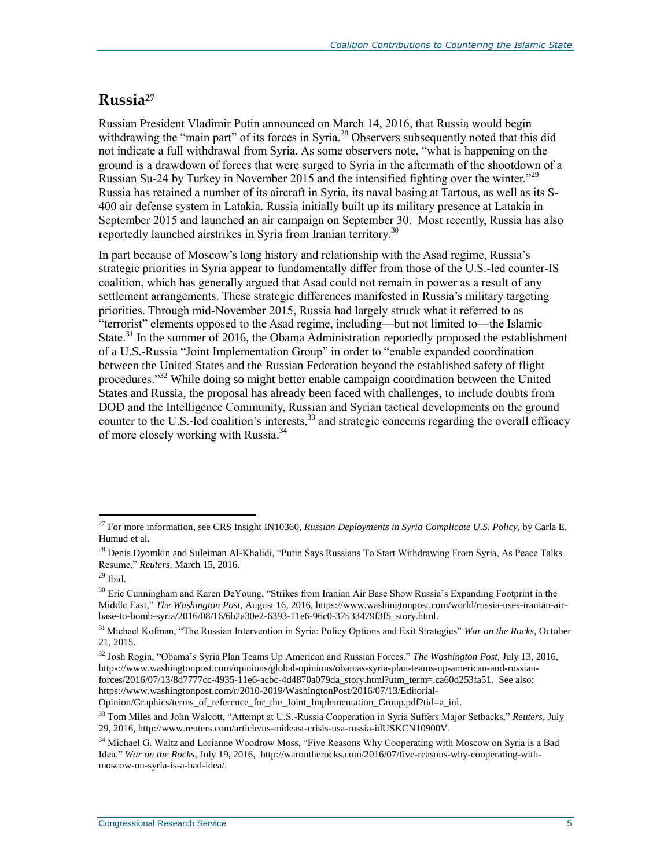### **Russia<sup>27</sup>**

Russian President Vladimir Putin announced on March 14, 2016, that Russia would begin withdrawing the "main part" of its forces in Syria.<sup>28</sup> Observers subsequently noted that this did not indicate a full withdrawal from Syria. As some observers note, "what is happening on the ground is a drawdown of forces that were surged to Syria in the aftermath of the shootdown of a Russian Su-24 by Turkey in November 2015 and the intensified fighting over the winter.<sup>229</sup> Russia has retained a number of its aircraft in Syria, its naval basing at Tartous, as well as its S-400 air defense system in Latakia. Russia initially built up its military presence at Latakia in September 2015 and launched an air campaign on September 30. Most recently, Russia has also reportedly launched airstrikes in Syria from Iranian territory.<sup>30</sup>

In part because of Moscow's long history and relationship with the Asad regime, Russia's strategic priorities in Syria appear to fundamentally differ from those of the U.S.-led counter-IS coalition, which has generally argued that Asad could not remain in power as a result of any settlement arrangements. These strategic differences manifested in Russia's military targeting priorities. Through mid-November 2015, Russia had largely struck what it referred to as "terrorist" elements opposed to the Asad regime, including—but not limited to—the Islamic State.<sup>31</sup> In the summer of 2016, the Obama Administration reportedly proposed the establishment of a U.S.-Russia "Joint Implementation Group" in order to "enable expanded coordination between the United States and the Russian Federation beyond the established safety of flight procedures."<sup>32</sup> While doing so might better enable campaign coordination between the United States and Russia, the proposal has already been faced with challenges, to include doubts from DOD and the Intelligence Community, Russian and Syrian tactical developments on the ground counter to the U.S.-led coalition's interests, <sup>33</sup> and strategic concerns regarding the overall efficacy of more closely working with Russia.<sup>34</sup>

Opinion/Graphics/terms\_of\_reference\_for\_the\_Joint\_Implementation\_Group.pdf?tid=a\_inl.

 $\overline{a}$ <sup>27</sup> For more information, see CRS Insight IN10360, *Russian Deployments in Syria Complicate U.S. Policy*, by Carla E. Humud et al.

<sup>&</sup>lt;sup>28</sup> Denis Dyomkin and Suleiman Al-Khalidi, "Putin Says Russians To Start Withdrawing From Syria, As Peace Talks Resume," *Reuters*, March 15, 2016.

 $29$  Ibid.

<sup>&</sup>lt;sup>30</sup> Eric Cunningham and Karen DeYoung, "Strikes from Iranian Air Base Show Russia's Expanding Footprint in the Middle East," *The Washington Post*, August 16, 2016, https://www.washingtonpost.com/world/russia-uses-iranian-airbase-to-bomb-syria/2016/08/16/6b2a30e2-6393-11e6-96c0-37533479f3f5\_story.html.

<sup>31</sup> Michael Kofman, "The Russian Intervention in Syria: Policy Options and Exit Strategies" *War on the Rocks*, October 21, 2015.

<sup>32</sup> Josh Rogin, "Obama's Syria Plan Teams Up American and Russian Forces," *The Washington Post,* July 13, 2016, https://www.washingtonpost.com/opinions/global-opinions/obamas-syria-plan-teams-up-american-and-russianforces/2016/07/13/8d7777cc-4935-11e6-acbc-4d4870a079da\_story.html?utm\_term=.ca60d253fa51. See also: https://www.washingtonpost.com/r/2010-2019/WashingtonPost/2016/07/13/Editorial-

<sup>33</sup> Tom Miles and John Walcott, "Attempt at U.S.-Russia Cooperation in Syria Suffers Major Setbacks," *Reuters,* July 29, 2016, http://www.reuters.com/article/us-mideast-crisis-usa-russia-idUSKCN10900V.

<sup>&</sup>lt;sup>34</sup> Michael G. Waltz and Lorianne Woodrow Moss, "Five Reasons Why Cooperating with Moscow on Syria is a Bad Idea," *War on the Rocks*, July 19, 2016, http://warontherocks.com/2016/07/five-reasons-why-cooperating-withmoscow-on-syria-is-a-bad-idea/.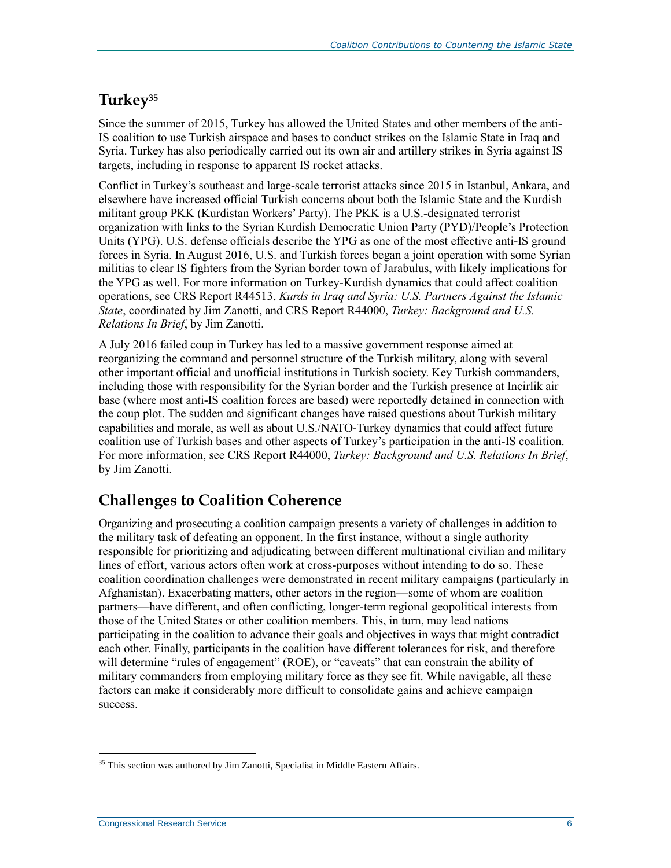#### **Turkey<sup>35</sup>**

Since the summer of 2015, Turkey has allowed the United States and other members of the anti-IS coalition to use Turkish airspace and bases to conduct strikes on the Islamic State in Iraq and Syria. Turkey has also periodically carried out its own air and artillery strikes in Syria against IS targets, including in response to apparent IS rocket attacks.

Conflict in Turkey's southeast and large-scale terrorist attacks since 2015 in Istanbul, Ankara, and elsewhere have increased official Turkish concerns about both the Islamic State and the Kurdish militant group PKK (Kurdistan Workers' Party). The PKK is a U.S.-designated terrorist organization with links to the Syrian Kurdish Democratic Union Party (PYD)/People's Protection Units (YPG). U.S. defense officials describe the YPG as one of the most effective anti-IS ground forces in Syria. In August 2016, U.S. and Turkish forces began a joint operation with some Syrian militias to clear IS fighters from the Syrian border town of Jarabulus, with likely implications for the YPG as well. For more information on Turkey-Kurdish dynamics that could affect coalition operations, see CRS Report R44513, *Kurds in Iraq and Syria: U.S. Partners Against the Islamic State*, coordinated by Jim Zanotti, and CRS Report R44000, *Turkey: Background and U.S. Relations In Brief*, by Jim Zanotti.

A July 2016 failed coup in Turkey has led to a massive government response aimed at reorganizing the command and personnel structure of the Turkish military, along with several other important official and unofficial institutions in Turkish society. Key Turkish commanders, including those with responsibility for the Syrian border and the Turkish presence at Incirlik air base (where most anti-IS coalition forces are based) were reportedly detained in connection with the coup plot. The sudden and significant changes have raised questions about Turkish military capabilities and morale, as well as about U.S./NATO-Turkey dynamics that could affect future coalition use of Turkish bases and other aspects of Turkey's participation in the anti-IS coalition. For more information, see CRS Report R44000, *Turkey: Background and U.S. Relations In Brief*, by Jim Zanotti.

### **Challenges to Coalition Coherence**

Organizing and prosecuting a coalition campaign presents a variety of challenges in addition to the military task of defeating an opponent. In the first instance, without a single authority responsible for prioritizing and adjudicating between different multinational civilian and military lines of effort, various actors often work at cross-purposes without intending to do so. These coalition coordination challenges were demonstrated in recent military campaigns (particularly in Afghanistan). Exacerbating matters, other actors in the region—some of whom are coalition partners—have different, and often conflicting, longer-term regional geopolitical interests from those of the United States or other coalition members. This, in turn, may lead nations participating in the coalition to advance their goals and objectives in ways that might contradict each other. Finally, participants in the coalition have different tolerances for risk, and therefore will determine "rules of engagement" (ROE), or "caveats" that can constrain the ability of military commanders from employing military force as they see fit. While navigable, all these factors can make it considerably more difficult to consolidate gains and achieve campaign success.

 $\overline{a}$  $35$  This section was authored by Jim Zanotti, Specialist in Middle Eastern Affairs.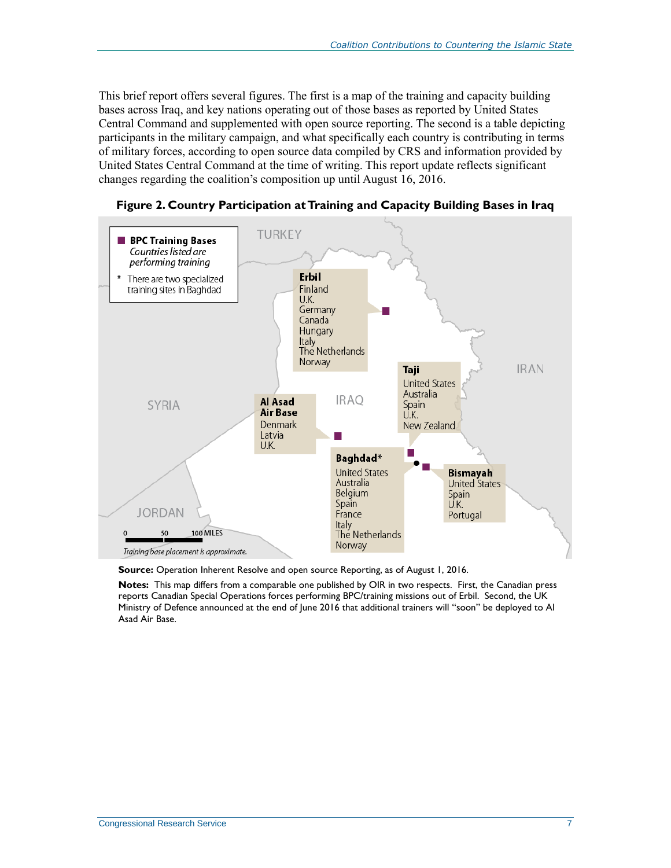This brief report offers several figures. The first is a map of the training and capacity building bases across Iraq, and key nations operating out of those bases as reported by United States Central Command and supplemented with open source reporting. The second is a table depicting participants in the military campaign, and what specifically each country is contributing in terms of military forces, according to open source data compiled by CRS and information provided by United States Central Command at the time of writing. This report update reflects significant changes regarding the coalition's composition up until August 16, 2016.



**Figure 2. Country Participation at Training and Capacity Building Bases in Iraq**

**Source:** Operation Inherent Resolve and open source Reporting, as of August 1, 2016.

**Notes:** This map differs from a comparable one published by OIR in two respects. First, the Canadian press reports Canadian Special Operations forces performing BPC/training missions out of Erbil. Second, the UK Ministry of Defence announced at the end of June 2016 that additional trainers will "soon" be deployed to Al Asad Air Base.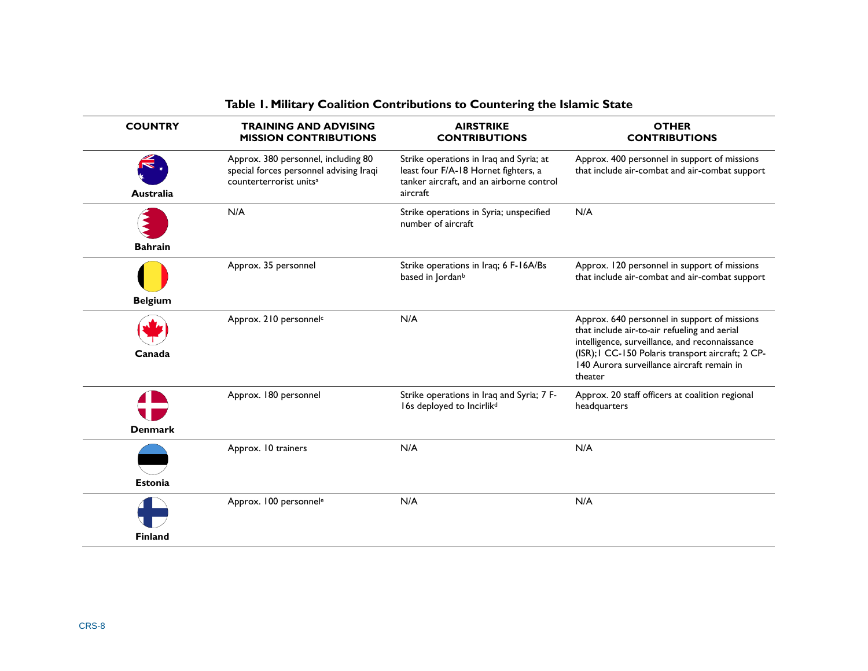| <b>COUNTRY</b> | <b>TRAINING AND ADVISING</b><br><b>MISSION CONTRIBUTIONS</b>                                                          | <b>AIRSTRIKE</b><br><b>CONTRIBUTIONS</b>                                                                                                | <b>OTHER</b><br><b>CONTRIBUTIONS</b>                                                                                                                                                                                                                         |
|----------------|-----------------------------------------------------------------------------------------------------------------------|-----------------------------------------------------------------------------------------------------------------------------------------|--------------------------------------------------------------------------------------------------------------------------------------------------------------------------------------------------------------------------------------------------------------|
| Australia      | Approx. 380 personnel, including 80<br>special forces personnel advising Iraqi<br>counterterrorist units <sup>a</sup> | Strike operations in Iraq and Syria; at<br>least four F/A-18 Hornet fighters, a<br>tanker aircraft, and an airborne control<br>aircraft | Approx. 400 personnel in support of missions<br>that include air-combat and air-combat support                                                                                                                                                               |
| <b>Bahrain</b> | N/A                                                                                                                   | Strike operations in Syria; unspecified<br>number of aircraft                                                                           | N/A                                                                                                                                                                                                                                                          |
| <b>Belgium</b> | Approx. 35 personnel                                                                                                  | Strike operations in Iraq; 6 F-16A/Bs<br>based in Jordan <sup>b</sup>                                                                   | Approx. 120 personnel in support of missions<br>that include air-combat and air-combat support                                                                                                                                                               |
| Canada         | Approx. 210 personnel <sup>c</sup>                                                                                    | N/A                                                                                                                                     | Approx. 640 personnel in support of missions<br>that include air-to-air refueling and aerial<br>intelligence, surveillance, and reconnaissance<br>(ISR); I CC-150 Polaris transport aircraft; 2 CP-<br>140 Aurora surveillance aircraft remain in<br>theater |
| <b>Denmark</b> | Approx. 180 personnel                                                                                                 | Strike operations in Iraq and Syria; 7 F-<br>16s deployed to Incirlik <sup>d</sup>                                                      | Approx. 20 staff officers at coalition regional<br>headquarters                                                                                                                                                                                              |
| <b>Estonia</b> | Approx. 10 trainers                                                                                                   | N/A                                                                                                                                     | N/A                                                                                                                                                                                                                                                          |
| <b>Finland</b> | Approx. 100 personnel <sup>e</sup>                                                                                    | N/A                                                                                                                                     | N/A                                                                                                                                                                                                                                                          |

#### **Table 1. Military Coalition Contributions to Countering the Islamic State**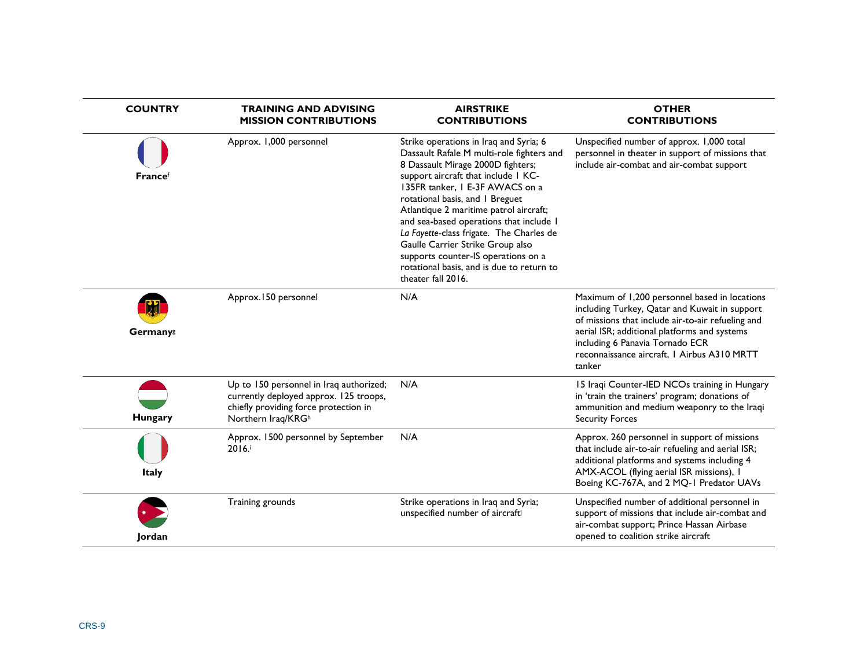| <b>COUNTRY</b> | <b>TRAINING AND ADVISING</b><br><b>MISSION CONTRIBUTIONS</b>                                                                                     | <b>AIRSTRIKE</b><br><b>CONTRIBUTIONS</b>                                                                                                                                                                                                                                                                                                                                                                                                                                                                             | <b>OTHER</b><br><b>CONTRIBUTIONS</b>                                                                                                                                                                                                                                                            |
|----------------|--------------------------------------------------------------------------------------------------------------------------------------------------|----------------------------------------------------------------------------------------------------------------------------------------------------------------------------------------------------------------------------------------------------------------------------------------------------------------------------------------------------------------------------------------------------------------------------------------------------------------------------------------------------------------------|-------------------------------------------------------------------------------------------------------------------------------------------------------------------------------------------------------------------------------------------------------------------------------------------------|
| Francef        | Approx. 1,000 personnel                                                                                                                          | Strike operations in Iraq and Syria; 6<br>Dassault Rafale M multi-role fighters and<br>8 Dassault Mirage 2000D fighters;<br>support aircraft that include 1 KC-<br>135FR tanker, I E-3F AWACS on a<br>rotational basis, and I Breguet<br>Atlantique 2 maritime patrol aircraft;<br>and sea-based operations that include I<br>La Fayette-class frigate. The Charles de<br>Gaulle Carrier Strike Group also<br>supports counter-IS operations on a<br>rotational basis, and is due to return to<br>theater fall 2016. | Unspecified number of approx. 1,000 total<br>personnel in theater in support of missions that<br>include air-combat and air-combat support                                                                                                                                                      |
| Germanys       | Approx.150 personnel                                                                                                                             | N/A                                                                                                                                                                                                                                                                                                                                                                                                                                                                                                                  | Maximum of 1,200 personnel based in locations<br>including Turkey, Qatar and Kuwait in support<br>of missions that include air-to-air refueling and<br>aerial ISR; additional platforms and systems<br>including 6 Panavia Tornado ECR<br>reconnaissance aircraft, I Airbus A310 MRTT<br>tanker |
| Hungary        | Up to 150 personnel in Iraq authorized;<br>currently deployed approx. 125 troops,<br>chiefly providing force protection in<br>Northern Iraq/KRGh | N/A                                                                                                                                                                                                                                                                                                                                                                                                                                                                                                                  | 15 Iraqi Counter-IED NCOs training in Hungary<br>in 'train the trainers' program; donations of<br>ammunition and medium weaponry to the Iraqi<br><b>Security Forces</b>                                                                                                                         |
| <b>Italy</b>   | Approx. 1500 personnel by September<br>2016.                                                                                                     | N/A                                                                                                                                                                                                                                                                                                                                                                                                                                                                                                                  | Approx. 260 personnel in support of missions<br>that include air-to-air refueling and aerial ISR;<br>additional platforms and systems including 4<br>AMX-ACOL (flying aerial ISR missions), I<br>Boeing KC-767A, and 2 MQ-1 Predator UAVs                                                       |
| Jordan         | Training grounds                                                                                                                                 | Strike operations in Iraq and Syria;<br>unspecified number of aircrafti                                                                                                                                                                                                                                                                                                                                                                                                                                              | Unspecified number of additional personnel in<br>support of missions that include air-combat and<br>air-combat support; Prince Hassan Airbase<br>opened to coalition strike aircraft                                                                                                            |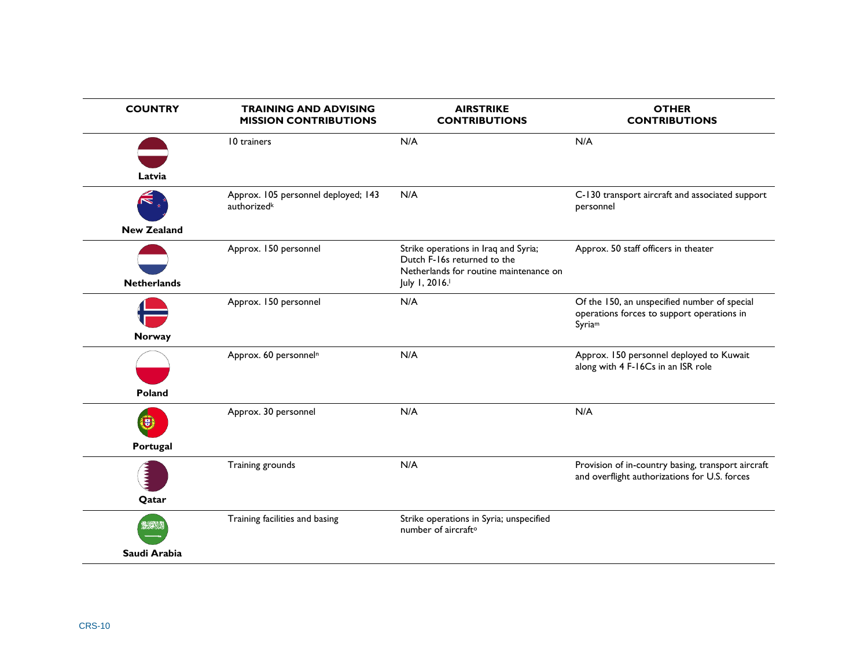| <b>COUNTRY</b>     | <b>TRAINING AND ADVISING</b><br><b>MISSION CONTRIBUTIONS</b> | <b>AIRSTRIKE</b><br><b>CONTRIBUTIONS</b>                                                                      | <b>OTHER</b><br><b>CONTRIBUTIONS</b>                                                                 |
|--------------------|--------------------------------------------------------------|---------------------------------------------------------------------------------------------------------------|------------------------------------------------------------------------------------------------------|
|                    | 10 trainers                                                  | N/A                                                                                                           | N/A                                                                                                  |
| Latvia             |                                                              |                                                                                                               |                                                                                                      |
|                    |                                                              |                                                                                                               |                                                                                                      |
|                    | Approx. 105 personnel deployed; 143<br>authorizedk           | N/A                                                                                                           | C-130 transport aircraft and associated support<br>personnel                                         |
| <b>New Zealand</b> |                                                              |                                                                                                               |                                                                                                      |
|                    | Approx. 150 personnel                                        | Strike operations in Iraq and Syria;<br>Dutch F-16s returned to the<br>Netherlands for routine maintenance on | Approx. 50 staff officers in theater                                                                 |
| <b>Netherlands</b> |                                                              | July 1, 2016.                                                                                                 |                                                                                                      |
|                    | Approx. 150 personnel                                        | N/A                                                                                                           | Of the 150, an unspecified number of special<br>operations forces to support operations in<br>Syriam |
| Norway             |                                                              |                                                                                                               |                                                                                                      |
|                    | Approx. 60 personnel <sup>n</sup>                            | N/A                                                                                                           | Approx. 150 personnel deployed to Kuwait<br>along with 4 F-16Cs in an ISR role                       |
| Poland             |                                                              |                                                                                                               |                                                                                                      |
| υ,                 | Approx. 30 personnel                                         | N/A                                                                                                           | N/A                                                                                                  |
| Portugal           |                                                              |                                                                                                               |                                                                                                      |
|                    | Training grounds                                             | N/A                                                                                                           | Provision of in-country basing, transport aircraft<br>and overflight authorizations for U.S. forces  |
| Qatar              |                                                              |                                                                                                               |                                                                                                      |
|                    | Training facilities and basing                               | Strike operations in Syria; unspecified<br>number of aircraft <sup>o</sup>                                    |                                                                                                      |
| Saudi Arabia       |                                                              |                                                                                                               |                                                                                                      |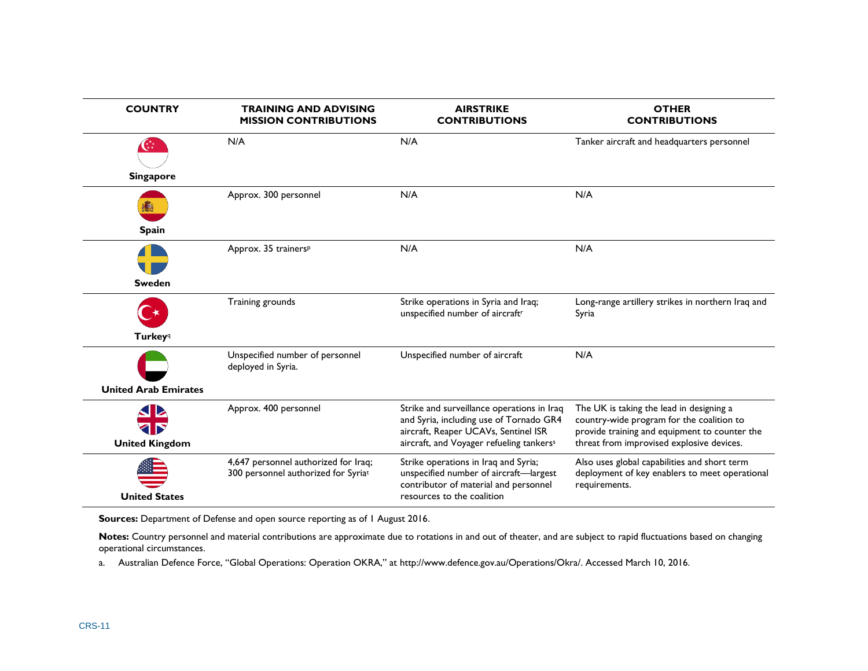| <b>COUNTRY</b>              | <b>TRAINING AND ADVISING</b><br><b>MISSION CONTRIBUTIONS</b>                | <b>AIRSTRIKE</b><br><b>CONTRIBUTIONS</b>                                                                                                                                              | <b>OTHER</b><br><b>CONTRIBUTIONS</b>                                                                                                                                                |
|-----------------------------|-----------------------------------------------------------------------------|---------------------------------------------------------------------------------------------------------------------------------------------------------------------------------------|-------------------------------------------------------------------------------------------------------------------------------------------------------------------------------------|
| $G^*$                       | N/A                                                                         | N/A                                                                                                                                                                                   | Tanker aircraft and headquarters personnel                                                                                                                                          |
| <b>Singapore</b>            |                                                                             |                                                                                                                                                                                       |                                                                                                                                                                                     |
|                             | Approx. 300 personnel                                                       | N/A                                                                                                                                                                                   | N/A                                                                                                                                                                                 |
| <b>Spain</b>                |                                                                             |                                                                                                                                                                                       |                                                                                                                                                                                     |
| <b>Sweden</b>               | Approx. 35 trainersP                                                        | N/A                                                                                                                                                                                   | N/A                                                                                                                                                                                 |
|                             | Training grounds                                                            | Strike operations in Syria and Iraq;<br>unspecified number of aircraftr                                                                                                               | Long-range artillery strikes in northern Iraq and<br>Syria                                                                                                                          |
| <b>Turkey</b> <sup>q</sup>  |                                                                             |                                                                                                                                                                                       |                                                                                                                                                                                     |
|                             | Unspecified number of personnel<br>deployed in Syria.                       | Unspecified number of aircraft                                                                                                                                                        | N/A                                                                                                                                                                                 |
| <b>United Arab Emirates</b> |                                                                             |                                                                                                                                                                                       |                                                                                                                                                                                     |
| <b>United Kingdom</b>       | Approx. 400 personnel                                                       | Strike and surveillance operations in Iraq<br>and Syria, including use of Tornado GR4<br>aircraft, Reaper UCAVs, Sentinel ISR<br>aircraft, and Voyager refueling tankers <sup>s</sup> | The UK is taking the lead in designing a<br>country-wide program for the coalition to<br>provide training and equipment to counter the<br>threat from improvised explosive devices. |
| <b>United States</b>        | 4,647 personnel authorized for Iraq;<br>300 personnel authorized for Syriat | Strike operations in Iraq and Syria;<br>unspecified number of aircraft-largest<br>contributor of material and personnel<br>resources to the coalition                                 | Also uses global capabilities and short term<br>deployment of key enablers to meet operational<br>requirements.                                                                     |

**Sources:** Department of Defense and open source reporting as of 1 August 2016.

**Notes:** Country personnel and material contributions are approximate due to rotations in and out of theater, and are subject to rapid fluctuations based on changing operational circumstances.

<span id="page-12-0"></span>a. Australian Defence Force, "Global Operations: Operation OKRA," at http://www.defence.gov.au/Operations/Okra/. Accessed March 10, 2016.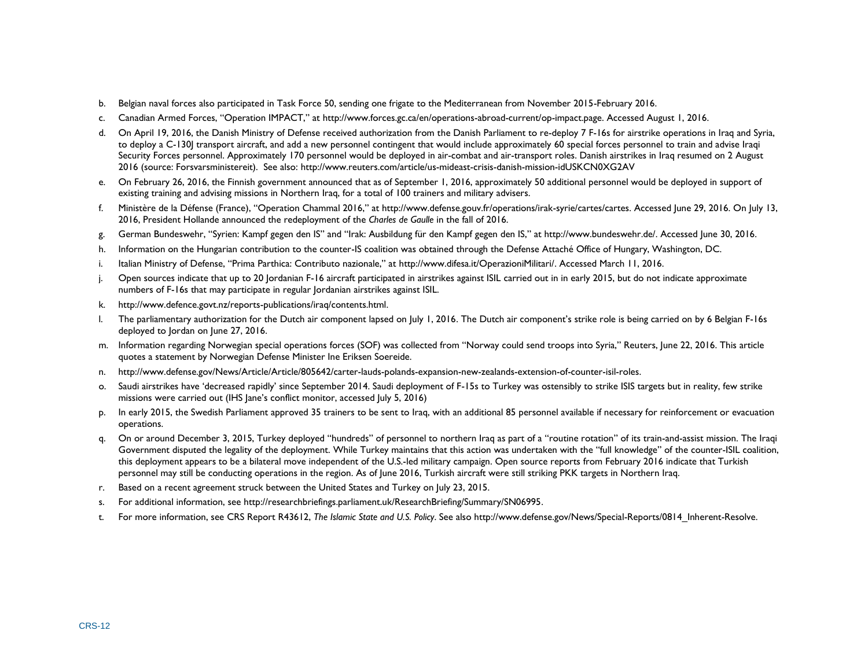- <span id="page-13-0"></span>b. Belgian naval forces also participated in Task Force 50, sending one frigate to the Mediterranean from November 2015-February 2016.
- <span id="page-13-1"></span>c. Canadian Armed Forces, "Operation IMPACT," at http://www.forces.gc.ca/en/operations-abroad-current/op-impact.page. Accessed August 1, 2016.
- <span id="page-13-2"></span>d. On April 19, 2016, the Danish Ministry of Defense received authorization from the Danish Parliament to re-deploy 7 F-16s for airstrike operations in Iraq and Syria, to deploy a C-130J transport aircraft, and add a new personnel contingent that would include approximately 60 special forces personnel to train and advise Iraqi Security Forces personnel. Approximately 170 personnel would be deployed in air-combat and air-transport roles. Danish airstrikes in Iraq resumed on 2 August 2016 (source: Forsvarsministereit). See also: http://www.reuters.com/article/us-mideast-crisis-danish-mission-idUSKCN0XG2AV
- <span id="page-13-3"></span>e. On February 26, 2016, the Finnish government announced that as of September 1, 2016, approximately 50 additional personnel would be deployed in support of existing training and advising missions in Northern Iraq, for a total of 100 trainers and military advisers.
- <span id="page-13-4"></span>f. Ministère de la Défense (France), "Operation Chammal 2016," at http://www.defense.gouv.fr/operations/irak-syrie/cartes/cartes. Accessed June 29, 2016. On July 13, 2016, President Hollande announced the redeployment of the *Charles de Gaulle* in the fall of 2016.
- <span id="page-13-5"></span>g. German Bundeswehr, "Syrien: Kampf gegen den IS" and "Irak: Ausbildung für den Kampf gegen den IS," at http://www.bundeswehr.de/. Accessed June 30, 2016.
- <span id="page-13-6"></span>h. Information on the Hungarian contribution to the counter-IS coalition was obtained through the Defense Attaché Office of Hungary, Washington, DC.
- <span id="page-13-7"></span>i. Italian Ministry of Defense, "Prima Parthica: Contributo nazionale," at http://www.difesa.it/OperazioniMilitari/. Accessed March 11, 2016.
- <span id="page-13-8"></span>j. Open sources indicate that up to 20 Jordanian F-16 aircraft participated in airstrikes against ISIL carried out in in early 2015, but do not indicate approximate numbers of F-16s that may participate in regular Jordanian airstrikes against ISIL.
- <span id="page-13-9"></span>k. http://www.defence.govt.nz/reports-publications/iraq/contents.html.
- <span id="page-13-10"></span>l. The parliamentary authorization for the Dutch air component lapsed on July 1, 2016. The Dutch air component's strike role is being carried on by 6 Belgian F-16s deployed to Jordan on June 27, 2016.
- <span id="page-13-11"></span>m. Information regarding Norwegian special operations forces (SOF) was collected from "Norway could send troops into Syria," Reuters, June 22, 2016. This article quotes a statement by Norwegian Defense Minister Ine Eriksen Soereide.
- <span id="page-13-12"></span>n. http://www.defense.gov/News/Article/Article/805642/carter-lauds-polands-expansion-new-zealands-extension-of-counter-isil-roles.
- <span id="page-13-13"></span>o. Saudi airstrikes have 'decreased rapidly' since September 2014. Saudi deployment of F-15s to Turkey was ostensibly to strike ISIS targets but in reality, few strike missions were carried out (IHS Jane's conflict monitor, accessed July 5, 2016)
- <span id="page-13-14"></span>p. In early 2015, the Swedish Parliament approved 35 trainers to be sent to Iraq, with an additional 85 personnel available if necessary for reinforcement or evacuation operations.
- <span id="page-13-15"></span>q. On or around December 3, 2015, Turkey deployed "hundreds" of personnel to northern Iraq as part of a "routine rotation" of its train-and-assist mission. The Iraqi Government disputed the legality of the deployment. While Turkey maintains that this action was undertaken with the "full knowledge" of the counter-ISIL coalition, this deployment appears to be a bilateral move independent of the U.S.-led military campaign. Open source reports from February 2016 indicate that Turkish personnel may still be conducting operations in the region. As of June 2016, Turkish aircraft were still striking PKK targets in Northern Iraq.
- <span id="page-13-16"></span>r. Based on a recent agreement struck between the United States and Turkey on July 23, 2015.
- <span id="page-13-17"></span>s. For additional information, see http://researchbriefings.parliament.uk/ResearchBriefing/Summary/SN06995.
- <span id="page-13-18"></span>t. For more information, see CRS Report R43612, *The Islamic State and U.S. Policy*. See also http://www.defense.gov/News/Special-Reports/0814\_Inherent-Resolve.